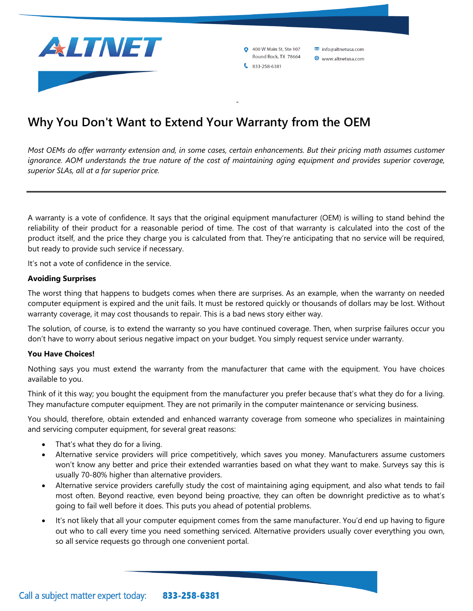

**0** 400 W Main St, Ste 107 info@altnetusa.com Round Rock, TX 78664 www.altnetusa.com  $833 - 258 - 6381$ 

# **Why You Don't Want to Extend Your Warranty from the OEM**

*Most OEMs do offer warranty extension and, in some cases, certain enhancements. But their pricing math assumes customer ignorance. AOM understands the true nature of the cost of maintaining aging equipment and provides superior coverage, superior SLAs, all at a far superior price.*

-

A warranty is a vote of confidence. It says that the original equipment manufacturer (OEM) is willing to stand behind the reliability of their product for a reasonable period of time. The cost of that warranty is calculated into the cost of the product itself, and the price they charge you is calculated from that. They're anticipating that no service will be required, but ready to provide such service if necessary.

It's not a vote of confidence in the service.

#### **Avoiding Surprises**

The worst thing that happens to budgets comes when there are surprises. As an example, when the warranty on needed computer equipment is expired and the unit fails. It must be restored quickly or thousands of dollars may be lost. Without warranty coverage, it may cost thousands to repair. This is a bad news story either way.

The solution, of course, is to extend the warranty so you have continued coverage. Then, when surprise failures occur you don't have to worry about serious negative impact on your budget. You simply request service under warranty.

#### **You Have Choices!**

Nothing says you must extend the warranty from the manufacturer that came with the equipment. You have choices available to you.

Think of it this way; you bought the equipment from the manufacturer you prefer because that's what they do for a living. They manufacture computer equipment. They are not primarily in the computer maintenance or servicing business.

You should, therefore, obtain extended and enhanced warranty coverage from someone who specializes in maintaining and servicing computer equipment, for several great reasons:

- That's what they do for a living.
- Alternative service providers will price competitively, which saves you money. Manufacturers assume customers won't know any better and price their extended warranties based on what they want to make. Surveys say this is usually 70-80% higher than alternative providers.
- Alternative service providers carefully study the cost of maintaining aging equipment, and also what tends to fail most often. Beyond reactive, even beyond being proactive, they can often be downright predictive as to what's going to fail well before it does. This puts you ahead of potential problems.
- It's not likely that all your computer equipment comes from the same manufacturer. You'd end up having to figure out who to call every time you need something serviced. Alternative providers usually cover everything you own, so all service requests go through one convenient portal.